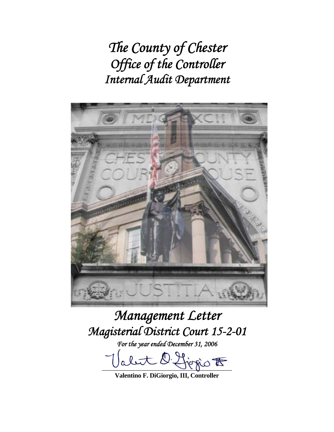*The County of Chester Office of the Controller Internal Audit Department* 



# *Management Letter Magisterial District Court 15-2-01*

*For the year ended December 31, 2006* 

let l'Horio  $t$ 

**Valentino F. DiGiorgio, III, Controller**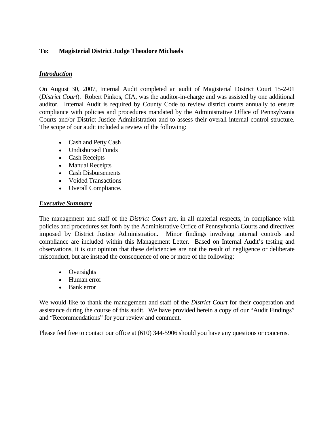# **To: Magisterial District Judge Theodore Michaels**

## *Introduction*

On August 30, 2007, Internal Audit completed an audit of Magisterial District Court 15-2-01 (*District Court*). Robert Pinkos, CIA, was the auditor-in-charge and was assisted by one additional auditor. Internal Audit is required by County Code to review district courts annually to ensure compliance with policies and procedures mandated by the Administrative Office of Pennsylvania Courts and/or District Justice Administration and to assess their overall internal control structure. The scope of our audit included a review of the following:

- Cash and Petty Cash
- Undisbursed Funds
- Cash Receipts
- Manual Receipts
- Cash Disbursements
- Voided Transactions
- Overall Compliance.

# *Executive Summary*

The management and staff of the *District Court* are, in all material respects, in compliance with policies and procedures set forth by the Administrative Office of Pennsylvania Courts and directives imposed by District Justice Administration. Minor findings involving internal controls and compliance are included within this Management Letter. Based on Internal Audit's testing and observations, it is our opinion that these deficiencies are not the result of negligence or deliberate misconduct, but are instead the consequence of one or more of the following:

- Oversights
- Human error
- Bank error

We would like to thank the management and staff of the *District Court* for their cooperation and assistance during the course of this audit. We have provided herein a copy of our "Audit Findings" and "Recommendations" for your review and comment.

Please feel free to contact our office at (610) 344-5906 should you have any questions or concerns.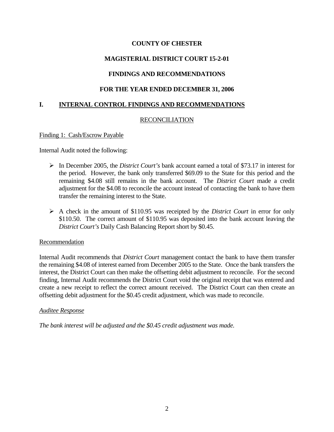# **MAGISTERIAL DISTRICT COURT 15-2-01**

# **FINDINGS AND RECOMMENDATIONS**

## **FOR THE YEAR ENDED DECEMBER 31, 2006**

## **I. INTERNAL CONTROL FINDINGS AND RECOMMENDATIONS**

## RECONCILIATION

#### Finding 1: Cash/Escrow Payable

Internal Audit noted the following:

- ¾ In December 2005, the *District Court's* bank account earned a total of \$73.17 in interest for the period. However, the bank only transferred \$69.09 to the State for this period and the remaining \$4.08 still remains in the bank account. The *District Court* made a credit adjustment for the \$4.08 to reconcile the account instead of contacting the bank to have them transfer the remaining interest to the State.
- ¾ A check in the amount of \$110.95 was receipted by the *District Court* in error for only \$110.50. The correct amount of \$110.95 was deposited into the bank account leaving the *District Court's* Daily Cash Balancing Report short by \$0.45.

#### Recommendation

Internal Audit recommends that *District Court* management contact the bank to have them transfer the remaining \$4.08 of interest earned from December 2005 to the State. Once the bank transfers the interest, the District Court can then make the offsetting debit adjustment to reconcile. For the second finding, Internal Audit recommends the District Court void the original receipt that was entered and create a new receipt to reflect the correct amount received. The District Court can then create an offsetting debit adjustment for the \$0.45 credit adjustment, which was made to reconcile.

#### *Auditee Response*

*The bank interest will be adjusted and the \$0.45 credit adjustment was made.*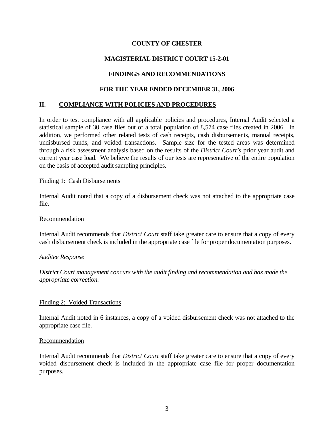# **MAGISTERIAL DISTRICT COURT 15-2-01**

# **FINDINGS AND RECOMMENDATIONS**

## **FOR THE YEAR ENDED DECEMBER 31, 2006**

## **II. COMPLIANCE WITH POLICIES AND PROCEDURES**

In order to test compliance with all applicable policies and procedures, Internal Audit selected a statistical sample of 30 case files out of a total population of 8,574 case files created in 2006. In addition, we performed other related tests of cash receipts, cash disbursements, manual receipts, undisbursed funds, and voided transactions. Sample size for the tested areas was determined through a risk assessment analysis based on the results of the *District Court's* prior year audit and current year case load. We believe the results of our tests are representative of the entire population on the basis of accepted audit sampling principles.

#### Finding 1: Cash Disbursements

Internal Audit noted that a copy of a disbursement check was not attached to the appropriate case file.

#### Recommendation

Internal Audit recommends that *District Court* staff take greater care to ensure that a copy of every cash disbursement check is included in the appropriate case file for proper documentation purposes.

#### *Auditee Response*

*District Court management concurs with the audit finding and recommendation and has made the appropriate correction.* 

#### Finding 2: Voided Transactions

Internal Audit noted in 6 instances, a copy of a voided disbursement check was not attached to the appropriate case file.

#### Recommendation

Internal Audit recommends that *District Court* staff take greater care to ensure that a copy of every voided disbursement check is included in the appropriate case file for proper documentation purposes.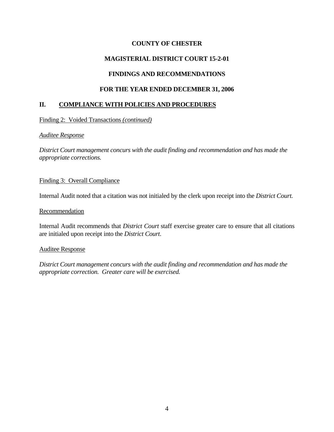# **MAGISTERIAL DISTRICT COURT 15-2-01**

# **FINDINGS AND RECOMMENDATIONS**

# **FOR THE YEAR ENDED DECEMBER 31, 2006**

# **II. COMPLIANCE WITH POLICIES AND PROCEDURES**

Finding 2: Voided Transactions *(continued)*

#### *Auditee Response*

*District Court management concurs with the audit finding and recommendation and has made the appropriate corrections.* 

## Finding 3: Overall Compliance

Internal Audit noted that a citation was not initialed by the clerk upon receipt into the *District Court.* 

#### **Recommendation**

Internal Audit recommends that *District Court* staff exercise greater care to ensure that all citations are initialed upon receipt into the *District Court*.

#### Auditee Response

*District Court management concurs with the audit finding and recommendation and has made the appropriate correction. Greater care will be exercised.*